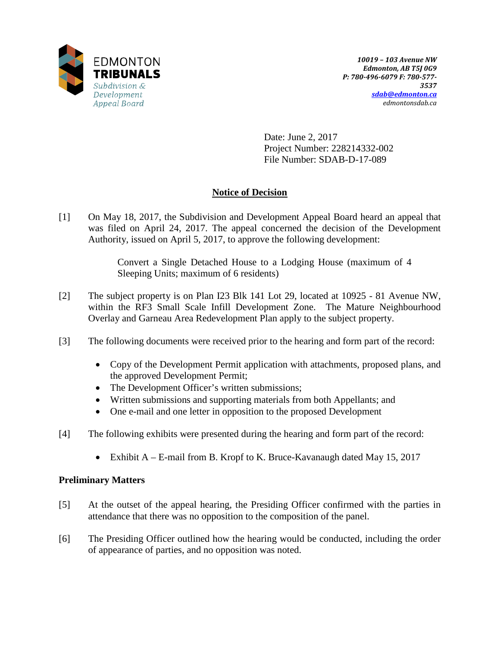

Date: June 2, 2017 Project Number: 228214332-002 File Number: SDAB-D-17-089

# **Notice of Decision**

[1] On May 18, 2017, the Subdivision and Development Appeal Board heard an appeal that was filed on April 24, 2017. The appeal concerned the decision of the Development Authority, issued on April 5, 2017, to approve the following development:

> Convert a Single Detached House to a Lodging House (maximum of 4 Sleeping Units; maximum of 6 residents)

- [2] The subject property is on Plan I23 Blk 141 Lot 29, located at 10925 81 Avenue NW, within the RF3 Small Scale Infill Development Zone. The Mature Neighbourhood Overlay and Garneau Area Redevelopment Plan apply to the subject property.
- [3] The following documents were received prior to the hearing and form part of the record:
	- Copy of the Development Permit application with attachments, proposed plans, and the approved Development Permit;
	- The Development Officer's written submissions;
	- Written submissions and supporting materials from both Appellants; and
	- One e-mail and one letter in opposition to the proposed Development
- [4] The following exhibits were presented during the hearing and form part of the record:
	- Exhibit A E-mail from B. Kropf to K. Bruce-Kavanaugh dated May 15, 2017

## **Preliminary Matters**

- [5] At the outset of the appeal hearing, the Presiding Officer confirmed with the parties in attendance that there was no opposition to the composition of the panel.
- [6] The Presiding Officer outlined how the hearing would be conducted, including the order of appearance of parties, and no opposition was noted.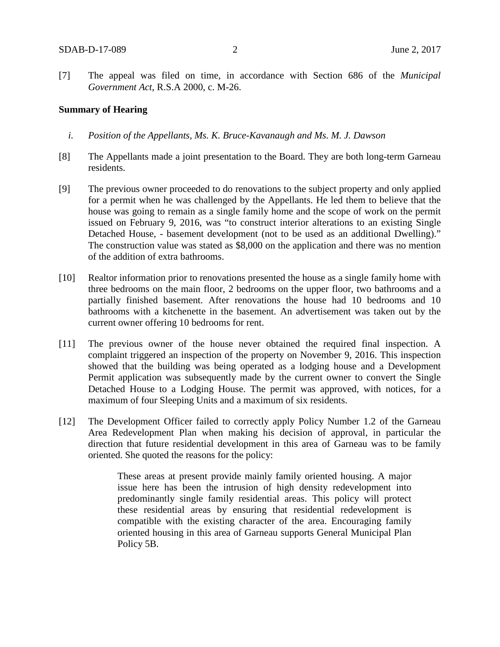[7] The appeal was filed on time, in accordance with Section 686 of the *Municipal Government Act*, R.S.A 2000, c. M-26.

#### **Summary of Hearing**

- *i. Position of the Appellants, Ms. K. Bruce-Kavanaugh and Ms. M. J. Dawson*
- [8] The Appellants made a joint presentation to the Board. They are both long-term Garneau residents.
- [9] The previous owner proceeded to do renovations to the subject property and only applied for a permit when he was challenged by the Appellants. He led them to believe that the house was going to remain as a single family home and the scope of work on the permit issued on February 9, 2016, was "to construct interior alterations to an existing Single Detached House, - basement development (not to be used as an additional Dwelling)." The construction value was stated as \$8,000 on the application and there was no mention of the addition of extra bathrooms.
- [10] Realtor information prior to renovations presented the house as a single family home with three bedrooms on the main floor, 2 bedrooms on the upper floor, two bathrooms and a partially finished basement. After renovations the house had 10 bedrooms and 10 bathrooms with a kitchenette in the basement. An advertisement was taken out by the current owner offering 10 bedrooms for rent.
- [11] The previous owner of the house never obtained the required final inspection. A complaint triggered an inspection of the property on November 9, 2016. This inspection showed that the building was being operated as a lodging house and a Development Permit application was subsequently made by the current owner to convert the Single Detached House to a Lodging House. The permit was approved, with notices, for a maximum of four Sleeping Units and a maximum of six residents.
- [12] The Development Officer failed to correctly apply Policy Number 1.2 of the Garneau Area Redevelopment Plan when making his decision of approval, in particular the direction that future residential development in this area of Garneau was to be family oriented. She quoted the reasons for the policy:

These areas at present provide mainly family oriented housing. A major issue here has been the intrusion of high density redevelopment into predominantly single family residential areas. This policy will protect these residential areas by ensuring that residential redevelopment is compatible with the existing character of the area. Encouraging family oriented housing in this area of Garneau supports General Municipal Plan Policy 5B.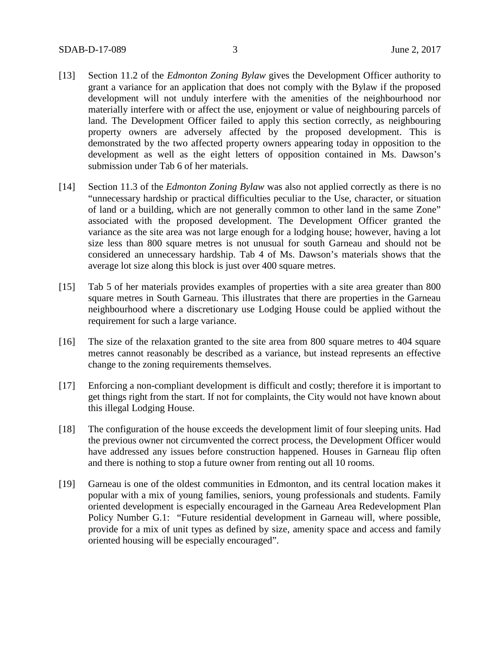- [13] Section 11.2 of the *Edmonton Zoning Bylaw* gives the Development Officer authority to grant a variance for an application that does not comply with the Bylaw if the proposed development will not unduly interfere with the amenities of the neighbourhood nor materially interfere with or affect the use, enjoyment or value of neighbouring parcels of land. The Development Officer failed to apply this section correctly, as neighbouring property owners are adversely affected by the proposed development. This is demonstrated by the two affected property owners appearing today in opposition to the development as well as the eight letters of opposition contained in Ms. Dawson's submission under Tab 6 of her materials.
- [14] Section 11.3 of the *Edmonton Zoning Bylaw* was also not applied correctly as there is no "unnecessary hardship or practical difficulties peculiar to the Use, character, or situation of land or a building, which are not generally common to other land in the same Zone" associated with the proposed development. The Development Officer granted the variance as the site area was not large enough for a lodging house; however, having a lot size less than 800 square metres is not unusual for south Garneau and should not be considered an unnecessary hardship. Tab 4 of Ms. Dawson's materials shows that the average lot size along this block is just over 400 square metres.
- [15] Tab 5 of her materials provides examples of properties with a site area greater than 800 square metres in South Garneau. This illustrates that there are properties in the Garneau neighbourhood where a discretionary use Lodging House could be applied without the requirement for such a large variance.
- [16] The size of the relaxation granted to the site area from 800 square metres to 404 square metres cannot reasonably be described as a variance, but instead represents an effective change to the zoning requirements themselves.
- [17] Enforcing a non-compliant development is difficult and costly; therefore it is important to get things right from the start. If not for complaints, the City would not have known about this illegal Lodging House.
- [18] The configuration of the house exceeds the development limit of four sleeping units. Had the previous owner not circumvented the correct process, the Development Officer would have addressed any issues before construction happened. Houses in Garneau flip often and there is nothing to stop a future owner from renting out all 10 rooms.
- [19] Garneau is one of the oldest communities in Edmonton, and its central location makes it popular with a mix of young families, seniors, young professionals and students. Family oriented development is especially encouraged in the Garneau Area Redevelopment Plan Policy Number G.1: "Future residential development in Garneau will, where possible, provide for a mix of unit types as defined by size, amenity space and access and family oriented housing will be especially encouraged".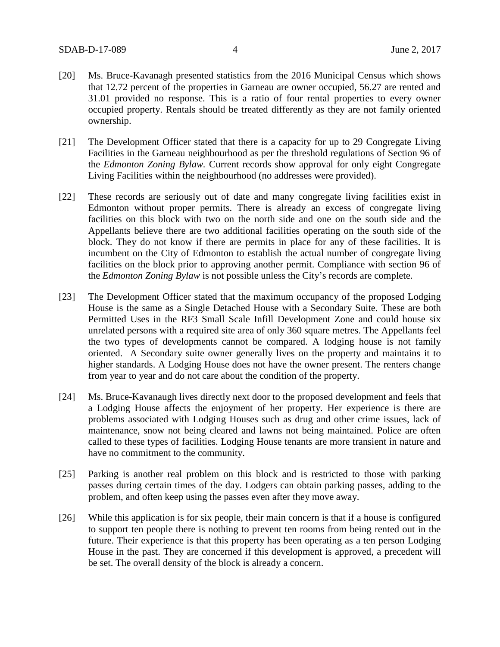- [20] Ms. Bruce-Kavanagh presented statistics from the 2016 Municipal Census which shows that 12.72 percent of the properties in Garneau are owner occupied, 56.27 are rented and 31.01 provided no response. This is a ratio of four rental properties to every owner occupied property. Rentals should be treated differently as they are not family oriented ownership.
- [21] The Development Officer stated that there is a capacity for up to 29 Congregate Living Facilities in the Garneau neighbourhood as per the threshold regulations of Section 96 of the *Edmonton Zoning Bylaw.* Current records show approval for only eight Congregate Living Facilities within the neighbourhood (no addresses were provided).
- [22] These records are seriously out of date and many congregate living facilities exist in Edmonton without proper permits. There is already an excess of congregate living facilities on this block with two on the north side and one on the south side and the Appellants believe there are two additional facilities operating on the south side of the block. They do not know if there are permits in place for any of these facilities. It is incumbent on the City of Edmonton to establish the actual number of congregate living facilities on the block prior to approving another permit. Compliance with section 96 of the *Edmonton Zoning Bylaw* is not possible unless the City's records are complete.
- [23] The Development Officer stated that the maximum occupancy of the proposed Lodging House is the same as a Single Detached House with a Secondary Suite. These are both Permitted Uses in the RF3 Small Scale Infill Development Zone and could house six unrelated persons with a required site area of only 360 square metres. The Appellants feel the two types of developments cannot be compared. A lodging house is not family oriented. A Secondary suite owner generally lives on the property and maintains it to higher standards. A Lodging House does not have the owner present. The renters change from year to year and do not care about the condition of the property.
- [24] Ms. Bruce-Kavanaugh lives directly next door to the proposed development and feels that a Lodging House affects the enjoyment of her property. Her experience is there are problems associated with Lodging Houses such as drug and other crime issues, lack of maintenance, snow not being cleared and lawns not being maintained. Police are often called to these types of facilities. Lodging House tenants are more transient in nature and have no commitment to the community.
- [25] Parking is another real problem on this block and is restricted to those with parking passes during certain times of the day. Lodgers can obtain parking passes, adding to the problem, and often keep using the passes even after they move away.
- [26] While this application is for six people, their main concern is that if a house is configured to support ten people there is nothing to prevent ten rooms from being rented out in the future. Their experience is that this property has been operating as a ten person Lodging House in the past. They are concerned if this development is approved, a precedent will be set. The overall density of the block is already a concern.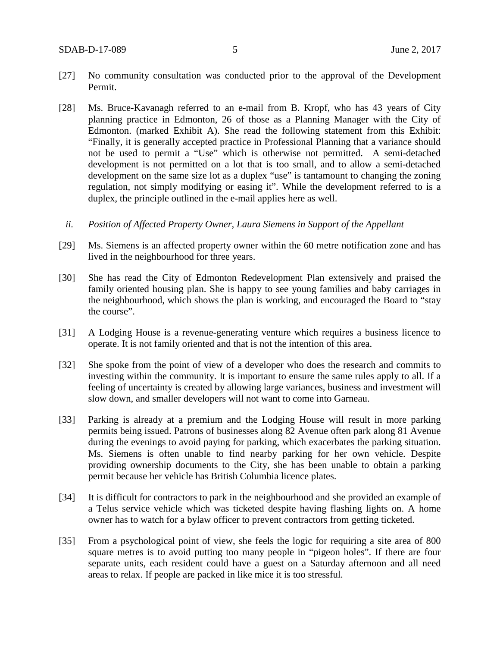- [27] No community consultation was conducted prior to the approval of the Development Permit.
- [28] Ms. Bruce-Kavanagh referred to an e-mail from B. Kropf, who has 43 years of City planning practice in Edmonton, 26 of those as a Planning Manager with the City of Edmonton. (marked Exhibit A). She read the following statement from this Exhibit: "Finally, it is generally accepted practice in Professional Planning that a variance should not be used to permit a "Use" which is otherwise not permitted. A semi-detached development is not permitted on a lot that is too small, and to allow a semi-detached development on the same size lot as a duplex "use" is tantamount to changing the zoning regulation, not simply modifying or easing it". While the development referred to is a duplex, the principle outlined in the e-mail applies here as well.
- *ii. Position of Affected Property Owner, Laura Siemens in Support of the Appellant*
- [29] Ms. Siemens is an affected property owner within the 60 metre notification zone and has lived in the neighbourhood for three years.
- [30] She has read the City of Edmonton Redevelopment Plan extensively and praised the family oriented housing plan. She is happy to see young families and baby carriages in the neighbourhood, which shows the plan is working, and encouraged the Board to "stay the course".
- [31] A Lodging House is a revenue-generating venture which requires a business licence to operate. It is not family oriented and that is not the intention of this area.
- [32] She spoke from the point of view of a developer who does the research and commits to investing within the community. It is important to ensure the same rules apply to all. If a feeling of uncertainty is created by allowing large variances, business and investment will slow down, and smaller developers will not want to come into Garneau.
- [33] Parking is already at a premium and the Lodging House will result in more parking permits being issued. Patrons of businesses along 82 Avenue often park along 81 Avenue during the evenings to avoid paying for parking, which exacerbates the parking situation. Ms. Siemens is often unable to find nearby parking for her own vehicle. Despite providing ownership documents to the City, she has been unable to obtain a parking permit because her vehicle has British Columbia licence plates.
- [34] It is difficult for contractors to park in the neighbourhood and she provided an example of a Telus service vehicle which was ticketed despite having flashing lights on. A home owner has to watch for a bylaw officer to prevent contractors from getting ticketed.
- [35] From a psychological point of view, she feels the logic for requiring a site area of 800 square metres is to avoid putting too many people in "pigeon holes". If there are four separate units, each resident could have a guest on a Saturday afternoon and all need areas to relax. If people are packed in like mice it is too stressful.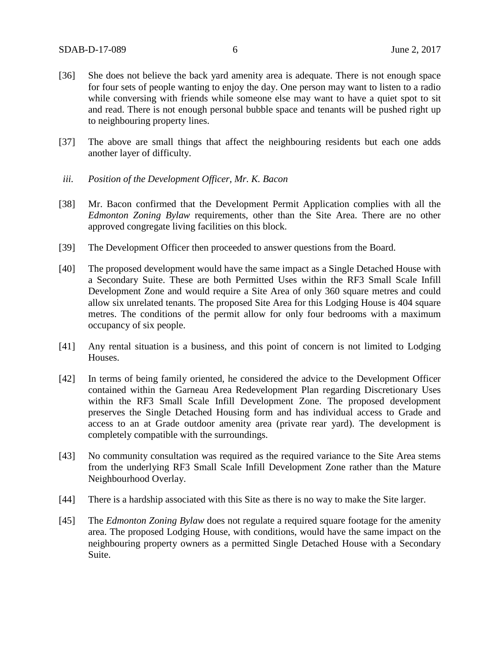- [36] She does not believe the back yard amenity area is adequate. There is not enough space for four sets of people wanting to enjoy the day. One person may want to listen to a radio while conversing with friends while someone else may want to have a quiet spot to sit and read. There is not enough personal bubble space and tenants will be pushed right up to neighbouring property lines.
- [37] The above are small things that affect the neighbouring residents but each one adds another layer of difficulty.
- *iii. Position of the Development Officer, Mr. K. Bacon*
- [38] Mr. Bacon confirmed that the Development Permit Application complies with all the *Edmonton Zoning Bylaw* requirements, other than the Site Area. There are no other approved congregate living facilities on this block.
- [39] The Development Officer then proceeded to answer questions from the Board.
- [40] The proposed development would have the same impact as a Single Detached House with a Secondary Suite. These are both Permitted Uses within the RF3 Small Scale Infill Development Zone and would require a Site Area of only 360 square metres and could allow six unrelated tenants. The proposed Site Area for this Lodging House is 404 square metres. The conditions of the permit allow for only four bedrooms with a maximum occupancy of six people.
- [41] Any rental situation is a business, and this point of concern is not limited to Lodging Houses.
- [42] In terms of being family oriented, he considered the advice to the Development Officer contained within the Garneau Area Redevelopment Plan regarding Discretionary Uses within the RF3 Small Scale Infill Development Zone. The proposed development preserves the Single Detached Housing form and has individual access to Grade and access to an at Grade outdoor amenity area (private rear yard). The development is completely compatible with the surroundings.
- [43] No community consultation was required as the required variance to the Site Area stems from the underlying RF3 Small Scale Infill Development Zone rather than the Mature Neighbourhood Overlay.
- [44] There is a hardship associated with this Site as there is no way to make the Site larger.
- [45] The *Edmonton Zoning Bylaw* does not regulate a required square footage for the amenity area. The proposed Lodging House, with conditions, would have the same impact on the neighbouring property owners as a permitted Single Detached House with a Secondary Suite.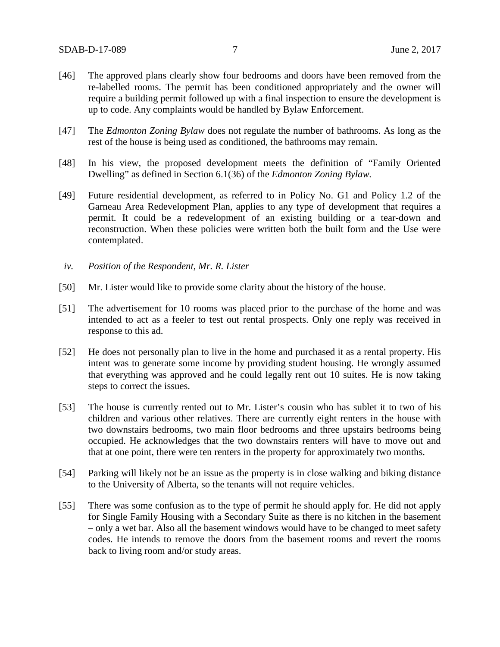- [46] The approved plans clearly show four bedrooms and doors have been removed from the re-labelled rooms. The permit has been conditioned appropriately and the owner will require a building permit followed up with a final inspection to ensure the development is up to code. Any complaints would be handled by Bylaw Enforcement.
- [47] The *Edmonton Zoning Bylaw* does not regulate the number of bathrooms. As long as the rest of the house is being used as conditioned, the bathrooms may remain.
- [48] In his view, the proposed development meets the definition of "Family Oriented Dwelling" as defined in Section 6.1(36) of the *Edmonton Zoning Bylaw.*
- [49] Future residential development, as referred to in Policy No. G1 and Policy 1.2 of the Garneau Area Redevelopment Plan, applies to any type of development that requires a permit. It could be a redevelopment of an existing building or a tear-down and reconstruction. When these policies were written both the built form and the Use were contemplated.
- *iv. Position of the Respondent, Mr. R. Lister*
- [50] Mr. Lister would like to provide some clarity about the history of the house.
- [51] The advertisement for 10 rooms was placed prior to the purchase of the home and was intended to act as a feeler to test out rental prospects. Only one reply was received in response to this ad.
- [52] He does not personally plan to live in the home and purchased it as a rental property. His intent was to generate some income by providing student housing. He wrongly assumed that everything was approved and he could legally rent out 10 suites. He is now taking steps to correct the issues.
- [53] The house is currently rented out to Mr. Lister's cousin who has sublet it to two of his children and various other relatives. There are currently eight renters in the house with two downstairs bedrooms, two main floor bedrooms and three upstairs bedrooms being occupied. He acknowledges that the two downstairs renters will have to move out and that at one point, there were ten renters in the property for approximately two months.
- [54] Parking will likely not be an issue as the property is in close walking and biking distance to the University of Alberta, so the tenants will not require vehicles.
- [55] There was some confusion as to the type of permit he should apply for. He did not apply for Single Family Housing with a Secondary Suite as there is no kitchen in the basement – only a wet bar. Also all the basement windows would have to be changed to meet safety codes. He intends to remove the doors from the basement rooms and revert the rooms back to living room and/or study areas.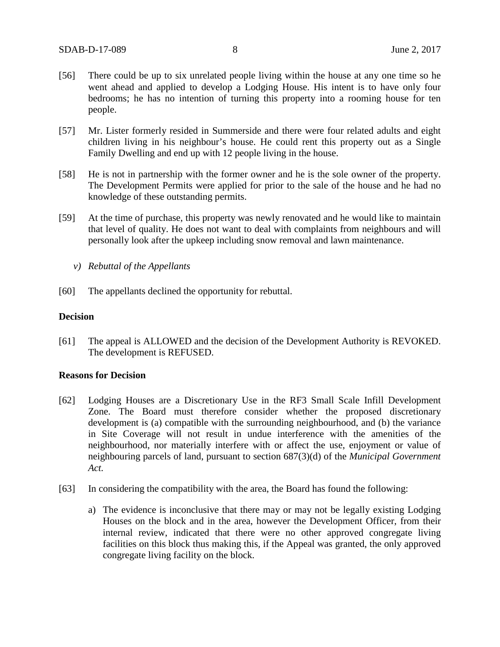- [56] There could be up to six unrelated people living within the house at any one time so he went ahead and applied to develop a Lodging House. His intent is to have only four bedrooms; he has no intention of turning this property into a rooming house for ten people.
- [57] Mr. Lister formerly resided in Summerside and there were four related adults and eight children living in his neighbour's house. He could rent this property out as a Single Family Dwelling and end up with 12 people living in the house.
- [58] He is not in partnership with the former owner and he is the sole owner of the property. The Development Permits were applied for prior to the sale of the house and he had no knowledge of these outstanding permits.
- [59] At the time of purchase, this property was newly renovated and he would like to maintain that level of quality. He does not want to deal with complaints from neighbours and will personally look after the upkeep including snow removal and lawn maintenance.
	- *v) Rebuttal of the Appellants*
- [60] The appellants declined the opportunity for rebuttal.

### **Decision**

[61] The appeal is ALLOWED and the decision of the Development Authority is REVOKED. The development is REFUSED.

#### **Reasons for Decision**

- [62] Lodging Houses are a Discretionary Use in the RF3 Small Scale Infill Development Zone. The Board must therefore consider whether the proposed discretionary development is (a) compatible with the surrounding neighbourhood, and (b) the variance in Site Coverage will not result in undue interference with the amenities of the neighbourhood, nor materially interfere with or affect the use, enjoyment or value of neighbouring parcels of land, pursuant to section 687(3)(d) of the *Municipal Government Act.*
- [63] In considering the compatibility with the area, the Board has found the following:
	- a) The evidence is inconclusive that there may or may not be legally existing Lodging Houses on the block and in the area, however the Development Officer, from their internal review, indicated that there were no other approved congregate living facilities on this block thus making this, if the Appeal was granted, the only approved congregate living facility on the block.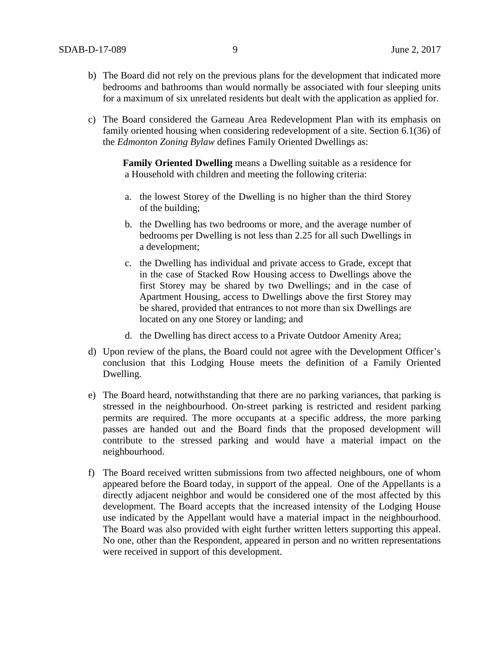- b) The Board did not rely on the previous plans for the development that indicated more bedrooms and bathrooms than would normally be associated with four sleeping units for a maximum of six unrelated residents but dealt with the application as applied for.
- c) The Board considered the Garneau Area Redevelopment Plan with its emphasis on family oriented housing when considering redevelopment of a site. Section 6.1(36) of the *Edmonton Zoning Bylaw* defines Family Oriented Dwellings as:

 **Family Oriented Dwelling** means a Dwelling suitable as a residence for a Household with children and meeting the following criteria:

- a. the lowest Storey of the Dwelling is no higher than the third Storey of the building;
- b. the Dwelling has two bedrooms or more, and the average number of bedrooms per Dwelling is not less than 2.25 for all such Dwellings in a development;
- c. the Dwelling has individual and private access to Grade, except that in the case of Stacked Row Housing access to Dwellings above the first Storey may be shared by two Dwellings; and in the case of Apartment Housing, access to Dwellings above the first Storey may be shared, provided that entrances to not more than six Dwellings are located on any one Storey or landing; and
- d. the Dwelling has direct access to a Private Outdoor Amenity Area;
- d) Upon review of the plans, the Board could not agree with the Development Officer's conclusion that this Lodging House meets the definition of a Family Oriented Dwelling.
- e) The Board heard, notwithstanding that there are no parking variances, that parking is stressed in the neighbourhood. On-street parking is restricted and resident parking permits are required. The more occupants at a specific address, the more parking passes are handed out and the Board finds that the proposed development will contribute to the stressed parking and would have a material impact on the neighbourhood.
- f) The Board received written submissions from two affected neighbours, one of whom appeared before the Board today, in support of the appeal. One of the Appellants is a directly adjacent neighbor and would be considered one of the most affected by this development. The Board accepts that the increased intensity of the Lodging House use indicated by the Appellant would have a material impact in the neighbourhood. The Board was also provided with eight further written letters supporting this appeal. No one, other than the Respondent, appeared in person and no written representations were received in support of this development.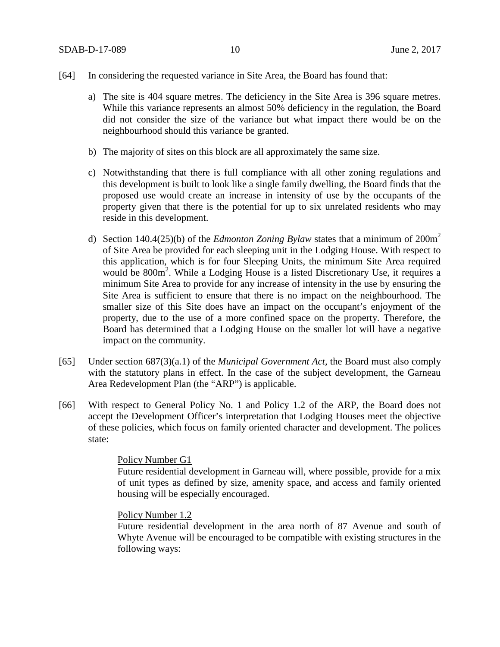- [64] In considering the requested variance in Site Area, the Board has found that:
	- a) The site is 404 square metres. The deficiency in the Site Area is 396 square metres. While this variance represents an almost 50% deficiency in the regulation, the Board did not consider the size of the variance but what impact there would be on the neighbourhood should this variance be granted.
	- b) The majority of sites on this block are all approximately the same size.
	- c) Notwithstanding that there is full compliance with all other zoning regulations and this development is built to look like a single family dwelling, the Board finds that the proposed use would create an increase in intensity of use by the occupants of the property given that there is the potential for up to six unrelated residents who may reside in this development.
	- d) Section 140.4(25)(b) of the *Edmonton Zoning Bylaw* states that a minimum of 200m2 of Site Area be provided for each sleeping unit in the Lodging House. With respect to this application, which is for four Sleeping Units, the minimum Site Area required would be 800m<sup>2</sup>. While a Lodging House is a listed Discretionary Use, it requires a minimum Site Area to provide for any increase of intensity in the use by ensuring the Site Area is sufficient to ensure that there is no impact on the neighbourhood. The smaller size of this Site does have an impact on the occupant's enjoyment of the property, due to the use of a more confined space on the property. Therefore, the Board has determined that a Lodging House on the smaller lot will have a negative impact on the community.
- [65] Under section 687(3)(a.1) of the *Municipal Government Act,* the Board must also comply with the statutory plans in effect. In the case of the subject development, the Garneau Area Redevelopment Plan (the "ARP") is applicable.
- [66] With respect to General Policy No. 1 and Policy 1.2 of the ARP, the Board does not accept the Development Officer's interpretation that Lodging Houses meet the objective of these policies, which focus on family oriented character and development. The polices state:

#### Policy Number G1

Future residential development in Garneau will, where possible, provide for a mix of unit types as defined by size, amenity space, and access and family oriented housing will be especially encouraged.

#### Policy Number 1.2

Future residential development in the area north of 87 Avenue and south of Whyte Avenue will be encouraged to be compatible with existing structures in the following ways: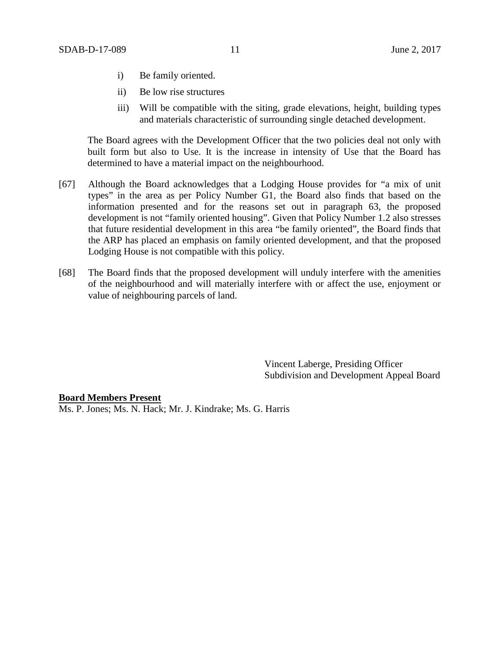- i) Be family oriented.
- ii) Be low rise structures
- iii) Will be compatible with the siting, grade elevations, height, building types and materials characteristic of surrounding single detached development.

The Board agrees with the Development Officer that the two policies deal not only with built form but also to Use. It is the increase in intensity of Use that the Board has determined to have a material impact on the neighbourhood.

- [67] Although the Board acknowledges that a Lodging House provides for "a mix of unit types" in the area as per Policy Number G1, the Board also finds that based on the information presented and for the reasons set out in paragraph 63, the proposed development is not "family oriented housing". Given that Policy Number 1.2 also stresses that future residential development in this area "be family oriented", the Board finds that the ARP has placed an emphasis on family oriented development, and that the proposed Lodging House is not compatible with this policy.
- [68] The Board finds that the proposed development will unduly interfere with the amenities of the neighbourhood and will materially interfere with or affect the use, enjoyment or value of neighbouring parcels of land.

Vincent Laberge, Presiding Officer Subdivision and Development Appeal Board

**Board Members Present** Ms. P. Jones; Ms. N. Hack; Mr. J. Kindrake; Ms. G. Harris